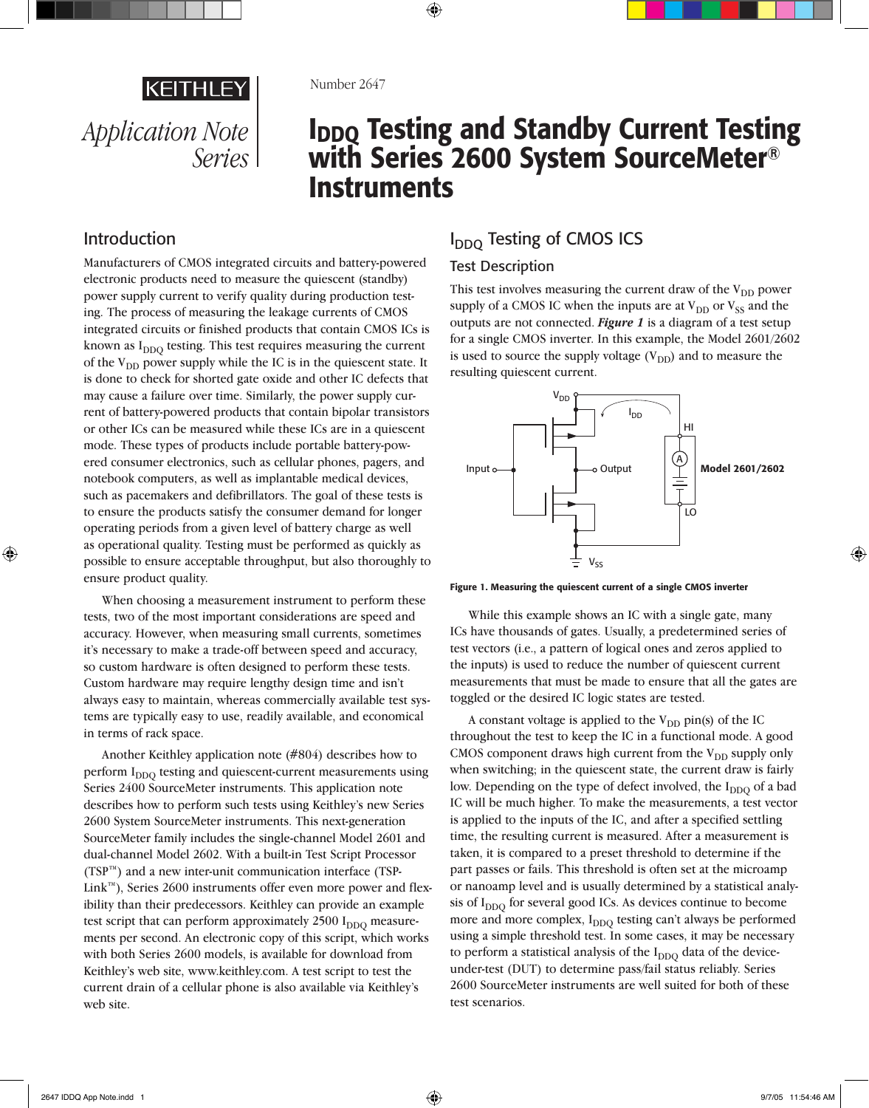

#### Number 2647

# I<sub>DDQ</sub> Testing and Standby Current Testing with Series 2600 System SourceMeter® **Instruments**

### Introduction

Manufacturers of CMOS integrated circuits and battery-powered electronic products need to measure the quiescent (standby) power supply current to verify quality during production testing. The process of measuring the leakage currents of CMOS integrated circuits or finished products that contain CMOS ICs is known as  $I<sub>DDO</sub>$  testing. This test requires measuring the current of the V<sub>DD</sub> power supply while the IC is in the quiescent state. It is done to check for shorted gate oxide and other IC defects that may cause a failure over time. Similarly, the power supply current of battery-powered products that contain bipolar transistors or other ICs can be measured while these ICs are in a quiescent mode. These types of products include portable battery-powered consumer electronics, such as cellular phones, pagers, and notebook computers, as well as implantable medical devices, such as pacemakers and defibrillators. The goal of these tests is to ensure the products satisfy the consumer demand for longer operating periods from a given level of battery charge as well as operational quality. Testing must be performed as quickly as possible to ensure acceptable throughput, but also thoroughly to ensure product quality.

When choosing a measurement instrument to perform these tests, two of the most important considerations are speed and accuracy. However, when measuring small currents, sometimes it's necessary to make a trade-off between speed and accuracy, so custom hardware is often designed to perform these tests. Custom hardware may require lengthy design time and isn't always easy to maintain, whereas commercially available test systems are typically easy to use, readily available, and economical in terms of rack space.

Another Keithley application note (#804) describes how to perform I<sub>DDO</sub> testing and quiescent-current measurements using Series 2400 SourceMeter instruments. This application note describes how to perform such tests using Keithley's new Series 2600 System SourceMeter instruments. This next-generation SourceMeter family includes the single-channel Model 2601 and dual-channel Model 2602. With a built-in Test Script Processor (TSP™) and a new inter-unit communication interface (TSP-Link™), Series 2600 instruments offer even more power and flexibility than their predecessors. Keithley can provide an example test script that can perform approximately  $2500 I<sub>DDO</sub>$  measurements per second. An electronic copy of this script, which works with both Series 2600 models, is available for download from Keithley's web site, www.keithley.com. A test script to test the current drain of a cellular phone is also available via Keithley's web site.

## I<sub>DDO</sub> Testing of CMOS ICS

### Test Description

This test involves measuring the current draw of the  $V_{DD}$  power supply of a CMOS IC when the inputs are at  $V_{DD}$  or  $V_{SS}$  and the outputs are not connected. *Figure 1* is a diagram of a test setup for a single CMOS inverter. In this example, the Model 2601/2602 is used to source the supply voltage  $(V_{DD})$  and to measure the resulting quiescent current.



Figure 1. Measuring the quiescent current of a single CMOS inverter

While this example shows an IC with a single gate, many ICs have thousands of gates. Usually, a predetermined series of test vectors (i.e., a pattern of logical ones and zeros applied to the inputs) is used to reduce the number of quiescent current measurements that must be made to ensure that all the gates are toggled or the desired IC logic states are tested.

A constant voltage is applied to the  $V_{DD}$  pin(s) of the IC throughout the test to keep the IC in a functional mode. A good CMOS component draws high current from the  $V_{DD}$  supply only when switching; in the quiescent state, the current draw is fairly low. Depending on the type of defect involved, the I<sub>DDQ</sub> of a bad IC will be much higher. To make the measurements, a test vector is applied to the inputs of the IC, and after a specified settling time, the resulting current is measured. After a measurement is taken, it is compared to a preset threshold to determine if the part passes or fails. This threshold is often set at the microamp or nanoamp level and is usually determined by a statistical analysis of  $I<sub>DDO</sub>$  for several good ICs. As devices continue to become more and more complex, I<sub>DDO</sub> testing can't always be performed using a simple threshold test. In some cases, it may be necessary to perform a statistical analysis of the  $I_{DDQ}$  data of the deviceunder-test (DUT) to determine pass/fail status reliably. Series 2600 SourceMeter instruments are well suited for both of these test scenarios.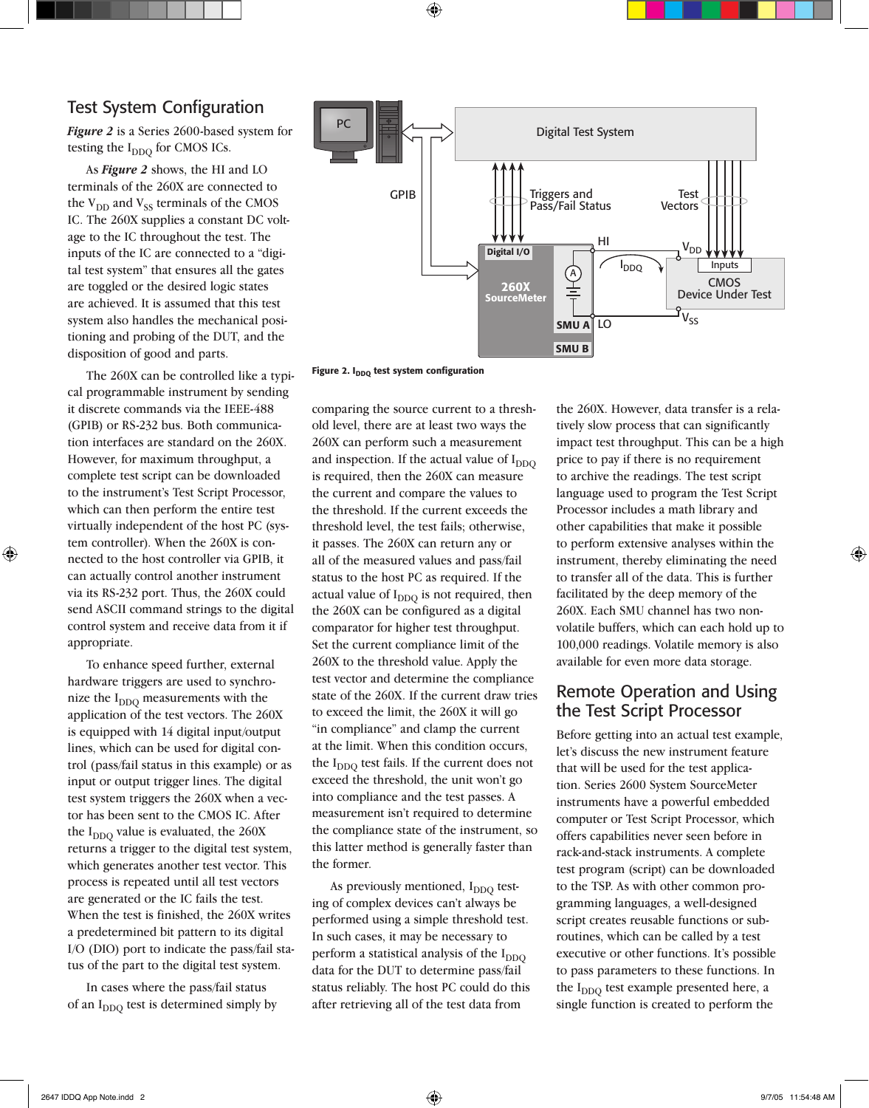### Test System Configuration

*Figure 2* is a Series 2600-based system for testing the  $I_{DDO}$  for CMOS ICs.

As *Figure 2* shows, the HI and LO terminals of the 260X are connected to the  $V_{DD}$  and  $V_{SS}$  terminals of the CMOS IC. The 260X supplies a constant DC voltage to the IC throughout the test. The inputs of the IC are connected to a "digital test system" that ensures all the gates are toggled or the desired logic states are achieved. It is assumed that this test system also handles the mechanical positioning and probing of the DUT, and the disposition of good and parts.

The 260X can be controlled like a typical programmable instrument by sending it discrete commands via the IEEE-488 (GPIB) or RS-232 bus. Both communication interfaces are standard on the 260X. However, for maximum throughput, a complete test script can be downloaded to the instrument's Test Script Processor, which can then perform the entire test virtually independent of the host PC (system controller). When the 260X is connected to the host controller via GPIB, it can actually control another instrument via its RS-232 port. Thus, the 260X could send ASCII command strings to the digital control system and receive data from it if appropriate.

To enhance speed further, external hardware triggers are used to synchronize the  $I_{DDO}$  measurements with the application of the test vectors. The 260X is equipped with 14 digital input/output lines, which can be used for digital control (pass/fail status in this example) or as input or output trigger lines. The digital test system triggers the 260X when a vector has been sent to the CMOS IC. After the  $I_{DDO}$  value is evaluated, the 260X returns a trigger to the digital test system, which generates another test vector. This process is repeated until all test vectors are generated or the IC fails the test. When the test is finished, the 260X writes a predetermined bit pattern to its digital I/O (DIO) port to indicate the pass/fail status of the part to the digital test system.

In cases where the pass/fail status of an  $I_{DDO}$  test is determined simply by



Figure 2. I<sub>DDQ</sub> test system configuration

comparing the source current to a threshold level, there are at least two ways the 260X can perform such a measurement and inspection. If the actual value of  $I_{DDO}$ is required, then the 260X can measure the current and compare the values to the threshold. If the current exceeds the threshold level, the test fails; otherwise, it passes. The 260X can return any or all of the measured values and pass/fail status to the host PC as required. If the actual value of  $I_{DDO}$  is not required, then the 260X can be configured as a digital comparator for higher test throughput. Set the current compliance limit of the 260X to the threshold value. Apply the test vector and determine the compliance state of the 260X. If the current draw tries to exceed the limit, the 260X it will go "in compliance" and clamp the current at the limit. When this condition occurs, the  $I_{DDO}$  test fails. If the current does not exceed the threshold, the unit won't go into compliance and the test passes. A measurement isn't required to determine the compliance state of the instrument, so this latter method is generally faster than the former.

As previously mentioned,  $I_{DDO}$  testing of complex devices can't always be performed using a simple threshold test. In such cases, it may be necessary to perform a statistical analysis of the  $I_{DDO}$ data for the DUT to determine pass/fail status reliably. The host PC could do this after retrieving all of the test data from

the 260X. However, data transfer is a relatively slow process that can significantly impact test throughput. This can be a high price to pay if there is no requirement to archive the readings. The test script language used to program the Test Script Processor includes a math library and other capabilities that make it possible to perform extensive analyses within the instrument, thereby eliminating the need to transfer all of the data. This is further facilitated by the deep memory of the 260X. Each SMU channel has two nonvolatile buffers, which can each hold up to 100,000 readings. Volatile memory is also available for even more data storage.

### Remote Operation and Using the Test Script Processor

Before getting into an actual test example, let's discuss the new instrument feature that will be used for the test application. Series 2600 System SourceMeter instruments have a powerful embedded computer or Test Script Processor, which offers capabilities never seen before in rack-and-stack instruments. A complete test program (script) can be downloaded to the TSP. As with other common programming languages, a well-designed script creates reusable functions or subroutines, which can be called by a test executive or other functions. It's possible to pass parameters to these functions. In the  $I_{DDO}$  test example presented here, a single function is created to perform the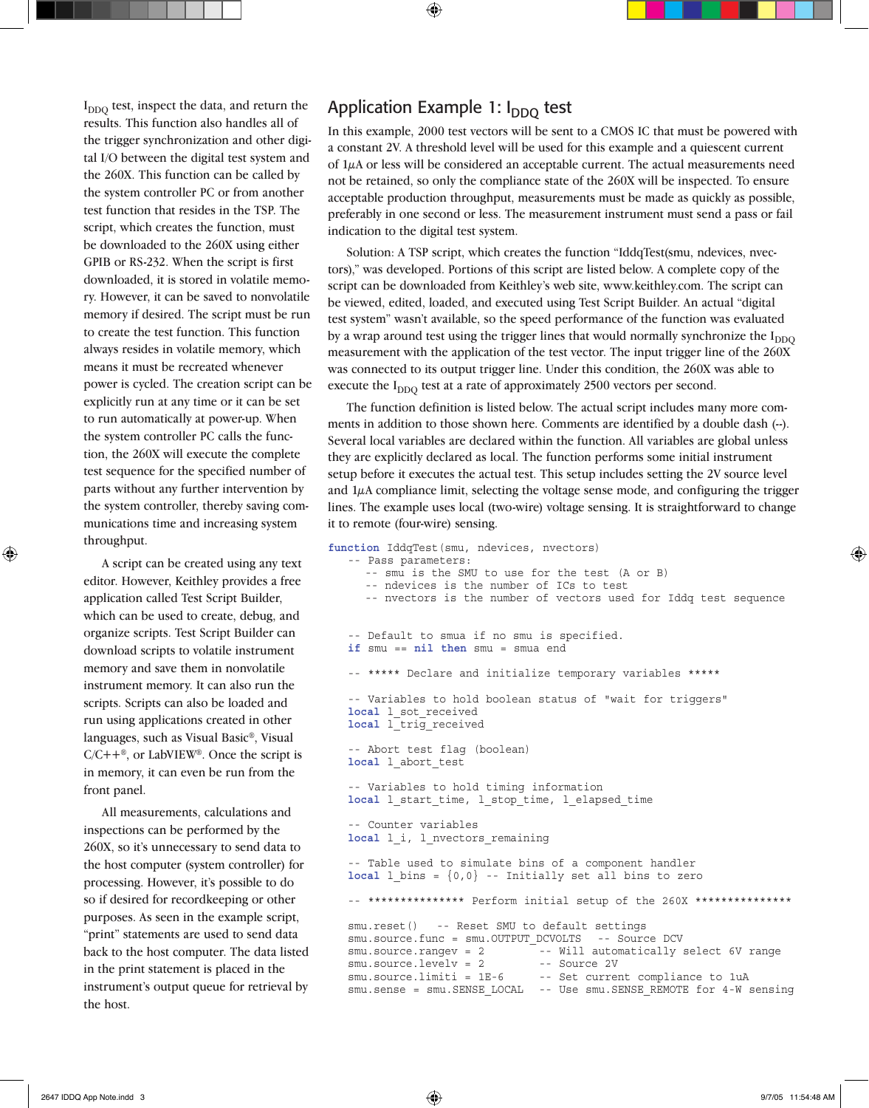$I_{DDO}$  test, inspect the data, and return the results. This function also handles all of the trigger synchronization and other digital I/O between the digital test system and the 260X. This function can be called by the system controller PC or from another test function that resides in the TSP. The script, which creates the function, must be downloaded to the 260X using either GPIB or RS-232. When the script is first downloaded, it is stored in volatile memory. However, it can be saved to nonvolatile memory if desired. The script must be run to create the test function. This function always resides in volatile memory, which means it must be recreated whenever power is cycled. The creation script can be explicitly run at any time or it can be set to run automatically at power-up. When the system controller PC calls the function, the 260X will execute the complete test sequence for the specified number of parts without any further intervention by the system controller, thereby saving communications time and increasing system throughput.

A script can be created using any text editor. However, Keithley provides a free application called Test Script Builder, which can be used to create, debug, and organize scripts. Test Script Builder can download scripts to volatile instrument memory and save them in nonvolatile instrument memory. It can also run the scripts. Scripts can also be loaded and run using applications created in other languages, such as Visual Basic®, Visual  $C/C++^{\circledast}$ , or LabVIEW<sup>®</sup>. Once the script is in memory, it can even be run from the front panel.

All measurements, calculations and inspections can be performed by the 260X, so it's unnecessary to send data to the host computer (system controller) for processing. However, it's possible to do so if desired for recordkeeping or other purposes. As seen in the example script, "print" statements are used to send data back to the host computer. The data listed in the print statement is placed in the instrument's output queue for retrieval by the host.

### Application Example 1:  $I_{DDO}$  test

In this example, 2000 test vectors will be sent to a CMOS IC that must be powered with a constant 2V. A threshold level will be used for this example and a quiescent current of 1µA or less will be considered an acceptable current. The actual measurements need not be retained, so only the compliance state of the 260X will be inspected. To ensure acceptable production throughput, measurements must be made as quickly as possible, preferably in one second or less. The measurement instrument must send a pass or fail indication to the digital test system.

Solution: A TSP script, which creates the function "IddqTest(smu, ndevices, nvectors)," was developed. Portions of this script are listed below. A complete copy of the script can be downloaded from Keithley's web site, www.keithley.com. The script can be viewed, edited, loaded, and executed using Test Script Builder. An actual "digital test system" wasn't available, so the speed performance of the function was evaluated by a wrap around test using the trigger lines that would normally synchronize the  $I_{\text{DDO}}$ measurement with the application of the test vector. The input trigger line of the 260X was connected to its output trigger line. Under this condition, the 260X was able to execute the  $I_{DDO}$  test at a rate of approximately 2500 vectors per second.

The function definition is listed below. The actual script includes many more comments in addition to those shown here. Comments are identified by a double dash (--). Several local variables are declared within the function. All variables are global unless they are explicitly declared as local. The function performs some initial instrument setup before it executes the actual test. This setup includes setting the 2V source level and  $1\mu$ A compliance limit, selecting the voltage sense mode, and configuring the trigger lines. The example uses local (two-wire) voltage sensing. It is straightforward to change it to remote (four-wire) sensing.

```
function IddqTest(smu, ndevices, nvectors)
  -- Pass parameters:
      -- smu is the SMU to use for the test (A or B)
      -- ndevices is the number of ICs to test
      -- nvectors is the number of vectors used for Iddq test sequence
  -- Default to smua if no smu is specified.
  if smu == nil then smu = smua end
  -- ***** Declare and initialize temporary variables *****
  -- Variables to hold boolean status of "wait for triggers"
  local l_sot_received
  local l_trig_received
  -- Abort test flag (boolean)
  local l_abort_test
  -- Variables to hold timing information
  local 1 start time, 1 stop time, 1 elapsed time
  -- Counter variables
  local l_i, l_nvectors_remaining
   -- Table used to simulate bins of a component handler
  local 1 bins = \{0,0\} -- Initially set all bins to zero
  -- *************** Perform initial setup of the 260X ***************
  smu.reset() -- Reset SMU to default settings
  smu.source.func = smu.OUTPUT DCVOLTS -- Source DCV
  sumc = rangev = 2 \overline{z} = - Will automatically select 6V range
  smu.source.levelv = 2 -- Source 2V
  smu.source.limiti = 1E-6 -- Set current compliance to 1uA
  smu.sense = smu.SENSE_LOCAL -- Use smu.SENSE_REMOTE for 4-W sensing
```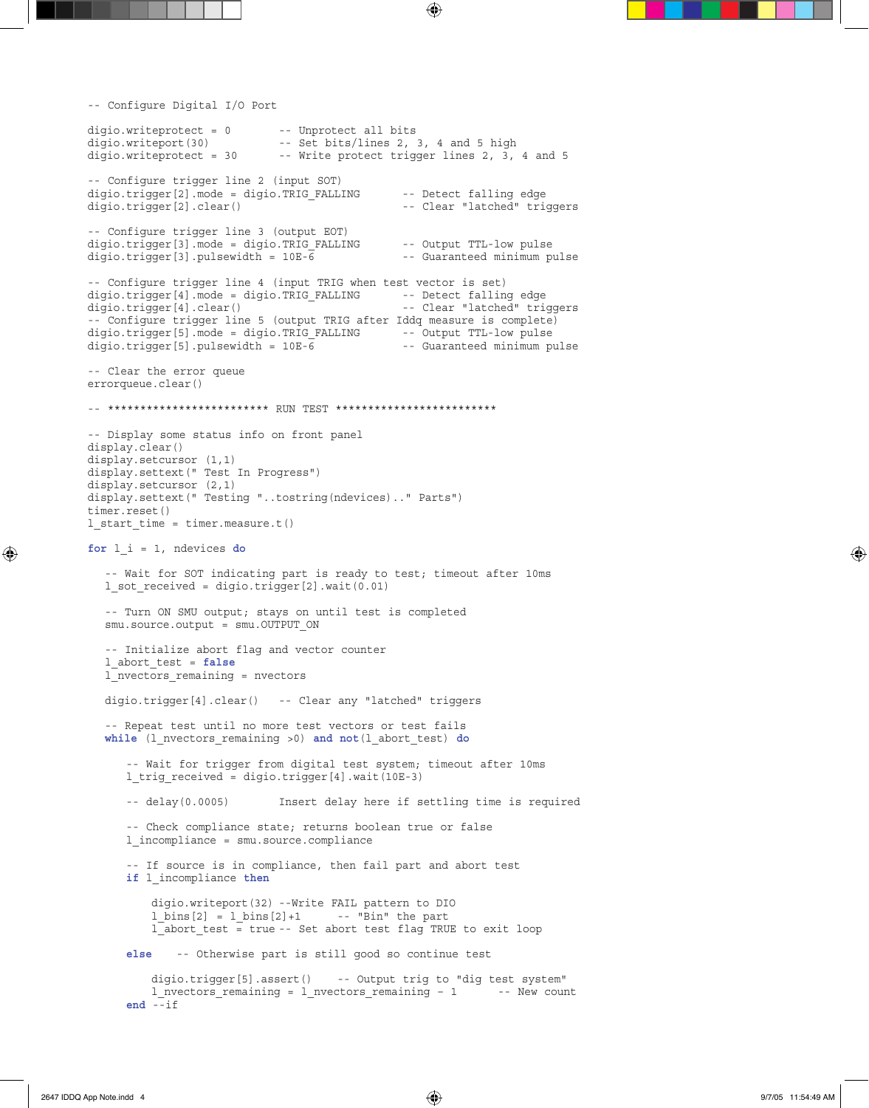```
-- Configure Digital I/O Port
digio.writeprotect = 0 -- Unprotect all bits
digio.writeport(30) -- Set bits/lines 2, 3, 4 and 5 high
digio.writeprotect = 30 -- Write protect trigger lines 2, 3, 4 and 5
-- Configure trigger line 2 (input SOT)
digio.trigger[2].mode = digio.TRIG_FALLING -- Detect falling edge
digio.trigger[2].clear() -- Clear "latched" triggers
-- Configure trigger line 3 (output EOT)
digio.trigger[3].mode = digio.TRIG_FALLING -- Output TTL-low pulse<br>digio.trigger[3].pulsewidth = 10E-6 -- Guaranteed minimum pulse
digio.trigger[3].pulsewidth = 10E-\overline{6}-- Configure trigger line 4 (input TRIG when test vector is set)<br>digio.trigger[4].mode = digio.TRIG FALLING -- Detect falling edge
digio.trigger[4].mode = digio.TRIG FALLING
digio.trigger[4].clear() -- Clear "latched" triggers
-- Configure trigger line 5 (output TRIG after Iddq measure is complete)
digio.trigger[5].mode = digio.TRIG_FALLING -- Output TTL-low pulse
digio.trigger[5].pulsewidth = 10E-6 -- Guaranteed minimum pulse
-- Clear the error queue
errorqueue.clear()
-- ************************* RUN TEST *************************
-- Display some status info on front panel
display.clear()
display.setcursor (1,1)
display.settext(" Test In Progress")
display.setcursor (2,1)
display.settext(" Testing "..tostring(ndevices).." Parts") 
timer.reset()
l_start_time = timer.measure.t()
for l_i = 1, ndevices do
    -- Wait for SOT indicating part is ready to test; timeout after 10ms
  l sot received = digio.trigger[2].wait(0.01) -- Turn ON SMU output; stays on until test is completed 
  smu.source.output = smu.OUTPUT ON
   -- Initialize abort flag and vector counter
   l_abort_test = false
   l_nvectors_remaining = nvectors
   digio.trigger[4].clear() -- Clear any "latched" triggers
   -- Repeat test until no more test vectors or test fails
   while (l_nvectors_remaining >0) and not(l_abort_test) do
       -- Wait for trigger from digital test system; timeout after 10ms
       l_trig_received = digio.trigger[4].wait(10E-3)
       -- delay(0.0005) Insert delay here if settling time is required
       -- Check compliance state; returns boolean true or false
       l_incompliance = smu.source.compliance
       -- If source is in compliance, then fail part and abort test
       if l_incompliance then
           digio.writeport(32) --Write FAIL pattern to DIO
         l \text{ bins}[2] = l \text{ bins}[2]+1 -- "Bin" the part
           l_abort_test = true -- Set abort test flag TRUE to exit loop
       else -- Otherwise part is still good so continue test
           digio.trigger[5].assert() -- Output trig to "dig test system"
          l nvectors remaining = l nvectors remaining - 1 -- New count
      end - if
```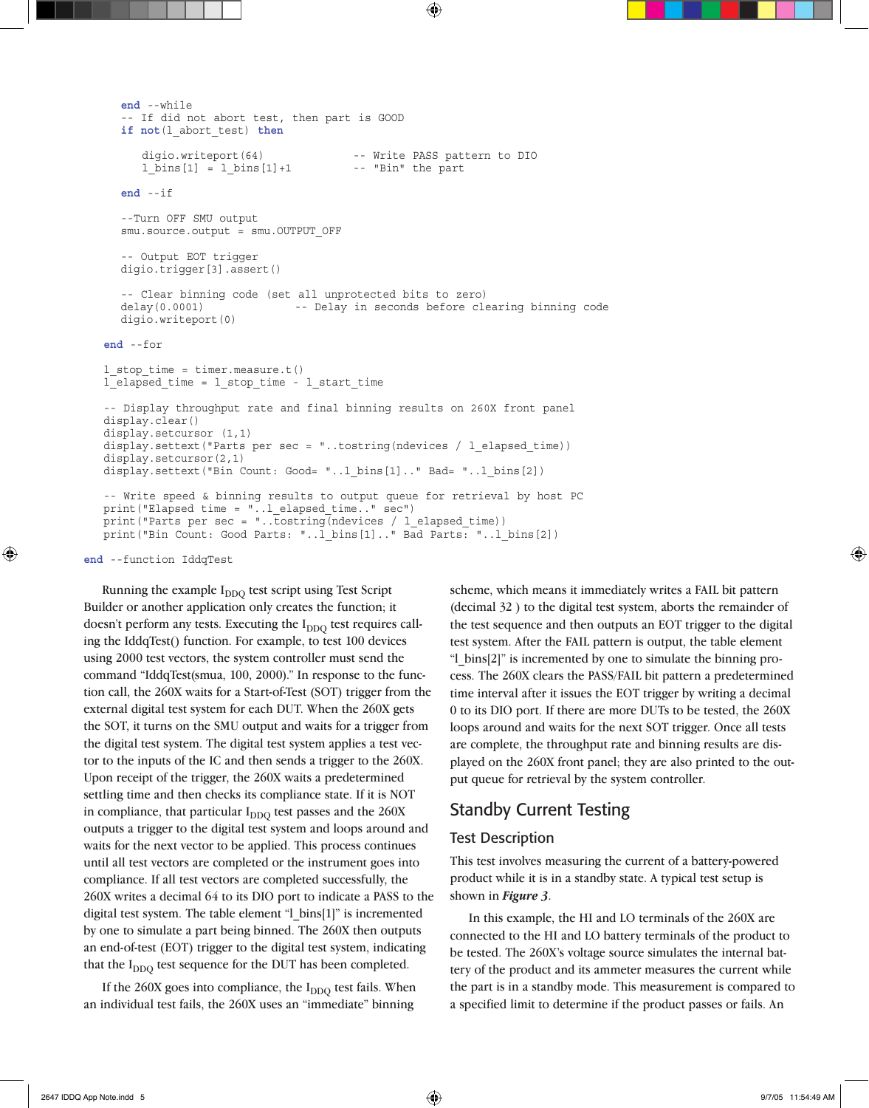```
 end --while
    -- If did not abort test, then part is GOOD
   if not(l_abort_test) then
      digio.writeport(64) -- Write PASS pattern to DIO<br>1 bins[1] = 1 bins[1]+1 -- "Bin" the part
      l \, \text{bins}[1] = l \, \text{bins}[1]+1 end --if
    --Turn OFF SMU output
  smu.source.output = smu.OUTPUT OFF
    -- Output EOT trigger
   digio.trigger[3].assert()
    -- Clear binning code (set all unprotected bits to zero)
   delay(0.0001) -- Delay in seconds before clearing binning code
   digio.writeport(0)
end --for
l_stop_time = timer.measure.t()
l_elapsed_time = l_stop_time - l_start_time
-- Display throughput rate and final binning results on 260X front panel
display.clear()
display.setcursor (1,1)
display.settext("Parts per sec = "..tostring(ndevices / l_elapsed_time))
display.setcursor(2,1)
display.settext("Bin Count: Good= "..l bins[1].." Bad= "..l bins[2])
-- Write speed & binning results to output queue for retrieval by host PC
print("Elapsed time = "..l_elapsed_time.." sec")
print("Parts per sec = "..tostring(ndevices / l elapsed time))
print("Bin Count: Good Parts: "..l_bins[1].." Bad Parts: "..l_bins[2])
```
**end** --function IddqTest

Running the example  $I_{DDO}$  test script using Test Script Builder or another application only creates the function; it doesn't perform any tests. Executing the  $I_{DDO}$  test requires calling the IddqTest() function. For example, to test 100 devices using 2000 test vectors, the system controller must send the command "IddqTest(smua, 100, 2000)." In response to the function call, the 260X waits for a Start-of-Test (SOT) trigger from the external digital test system for each DUT. When the 260X gets the SOT, it turns on the SMU output and waits for a trigger from the digital test system. The digital test system applies a test vector to the inputs of the IC and then sends a trigger to the 260X. Upon receipt of the trigger, the 260X waits a predetermined settling time and then checks its compliance state. If it is NOT in compliance, that particular  $I_{DDO}$  test passes and the 260X outputs a trigger to the digital test system and loops around and waits for the next vector to be applied. This process continues until all test vectors are completed or the instrument goes into compliance. If all test vectors are completed successfully, the 260X writes a decimal 64 to its DIO port to indicate a PASS to the digital test system. The table element "l\_bins[1]" is incremented by one to simulate a part being binned. The 260X then outputs an end-of-test (EOT) trigger to the digital test system, indicating that the  $I_{DDO}$  test sequence for the DUT has been completed.

If the  $260X$  goes into compliance, the  $I_{DDO}$  test fails. When an individual test fails, the 260X uses an "immediate" binning

scheme, which means it immediately writes a FAIL bit pattern (decimal 32 ) to the digital test system, aborts the remainder of the test sequence and then outputs an EOT trigger to the digital test system. After the FAIL pattern is output, the table element "I bins[2]" is incremented by one to simulate the binning process. The 260X clears the PASS/FAIL bit pattern a predetermined time interval after it issues the EOT trigger by writing a decimal 0 to its DIO port. If there are more DUTs to be tested, the 260X loops around and waits for the next SOT trigger. Once all tests are complete, the throughput rate and binning results are displayed on the 260X front panel; they are also printed to the output queue for retrieval by the system controller.

### Standby Current Testing

#### Test Description

This test involves measuring the current of a battery-powered product while it is in a standby state. A typical test setup is shown in *Figure 3*.

In this example, the HI and LO terminals of the 260X are connected to the HI and LO battery terminals of the product to be tested. The 260X's voltage source simulates the internal battery of the product and its ammeter measures the current while the part is in a standby mode. This measurement is compared to a specified limit to determine if the product passes or fails. An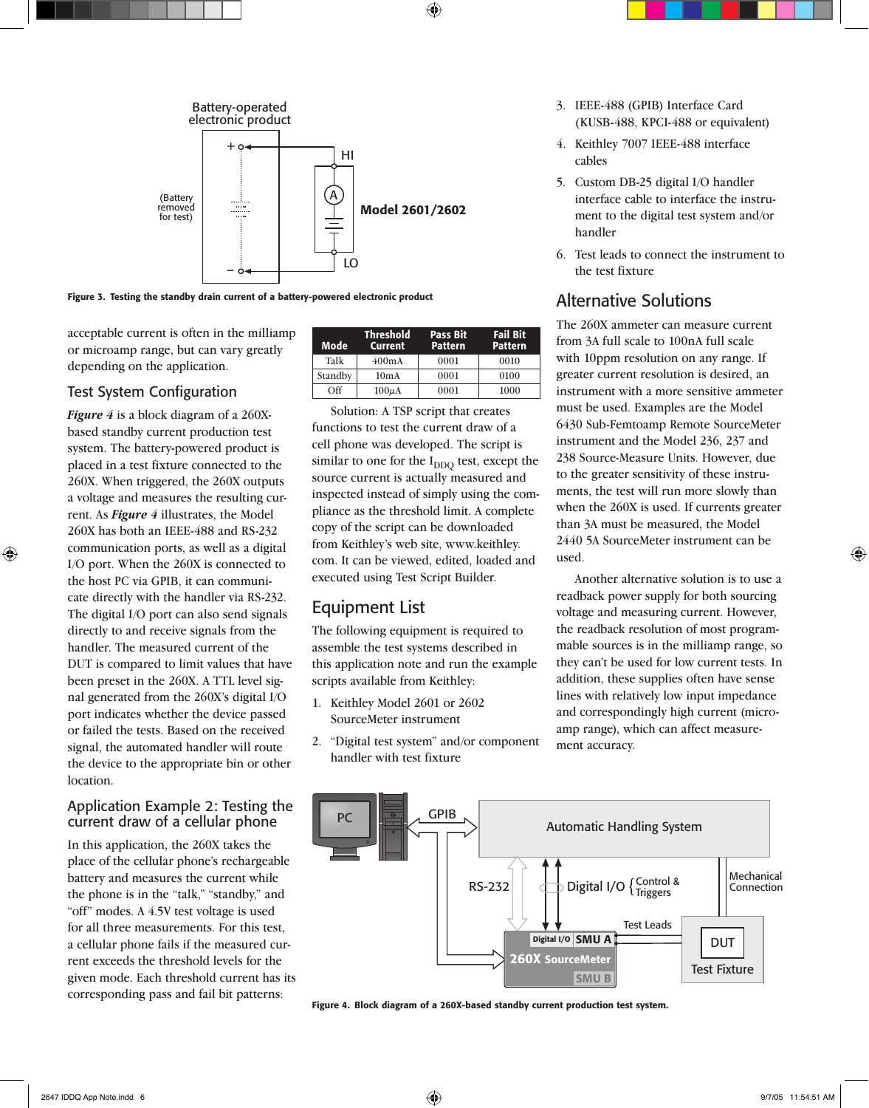

Figure 3. Testing the standby drain current of a battery-powered electronic product

acceptable current is often in the milliamp or microamp range, but can vary greatly depending on the application.

### Test System Configuration

*Figure 4* is a block diagram of a 260Xbased standby current production test system. The battery-powered product is placed in a test fixture connected to the 260X. When triggered, the 260X outputs a voltage and measures the resulting current. As *Figure 4* illustrates, the Model 260X has both an IEEE-488 and RS-232 communication ports, as well as a digital I/O port. When the 260X is connected to the host PC via GPIB, it can communicate directly with the handler via RS-232. The digital I/O port can also send signals directly to and receive signals from the handler. The measured current of the DUT is compared to limit values that have been preset in the 260X. A TTL level signal generated from the 260X's digital I/O port indicates whether the device passed or failed the tests. Based on the received signal, the automated handler will route the device to the appropriate bin or other location.

#### Application Example 2: Testing the current draw of a cellular phone

In this application, the 260X takes the place of the cellular phone's rechargeable battery and measures the current while the phone is in the "talk," "standby," and "off" modes. A 4.5V test voltage is used for all three measurements. For this test, a cellular phone fails if the measured current exceeds the threshold levels for the given mode. Each threshold current has its corresponding pass and fail bit patterns:

| Mode    | <b>Threshold</b><br><b>Current</b> | <b>Pass Bit</b><br><b>Pattern</b> | <b>Fail Bit</b><br><b>Pattern</b> |
|---------|------------------------------------|-----------------------------------|-----------------------------------|
| Talk    | $400m$ A                           | 0001                              | 0010                              |
| Standby | 10mA                               | 0001                              | 0100                              |
| Off     | $100\mu\text{A}$                   | 0001                              | 1000                              |

Solution: A TSP script that creates functions to test the current draw of a cell phone was developed. The script is similar to one for the  $I_{DDO}$  test, except the source current is actually measured and inspected instead of simply using the compliance as the threshold limit. A complete copy of the script can be downloaded from Keithley's web site, www.keithley. com. It can be viewed, edited, loaded and executed using Test Script Builder.

### Equipment List

The following equipment is required to assemble the test systems described in this application note and run the example scripts available from Keithley:

- 1. Keithley Model 2601 or 2602 SourceMeter instrument
- 2. "Digital test system" and/or component handler with test fixture
- 3. IEEE-488 (GPIB) Interface Card (KUSB-488, KPCI-488 or equivalent)
- 4. Keithley 7007 IEEE-488 interface cables
- 5. Custom DB-25 digital I/O handler interface cable to interface the instrument to the digital test system and/or handler
- 6. Test leads to connect the instrument to the test fixture

### Alternative Solutions

The 260X ammeter can measure current from 3A full scale to 100nA full scale with 10ppm resolution on any range. If greater current resolution is desired, an instrument with a more sensitive ammeter must be used. Examples are the Model 6430 Sub-Femtoamp Remote SourceMeter instrument and the Model 236, 237 and 238 Source-Measure Units. However, due to the greater sensitivity of these instruments, the test will run more slowly than when the 260X is used. If currents greater than 3A must be measured, the Model 2440 5A SourceMeter instrument can be used.

Another alternative solution is to use a readback power supply for both sourcing voltage and measuring current. However, the readback resolution of most programmable sources is in the milliamp range, so they can't be used for low current tests. In addition, these supplies often have sense lines with relatively low input impedance and correspondingly high current (microamp range), which can affect measurement accuracy.



Figure 4. Block diagram of a 260X-based standby current production test system.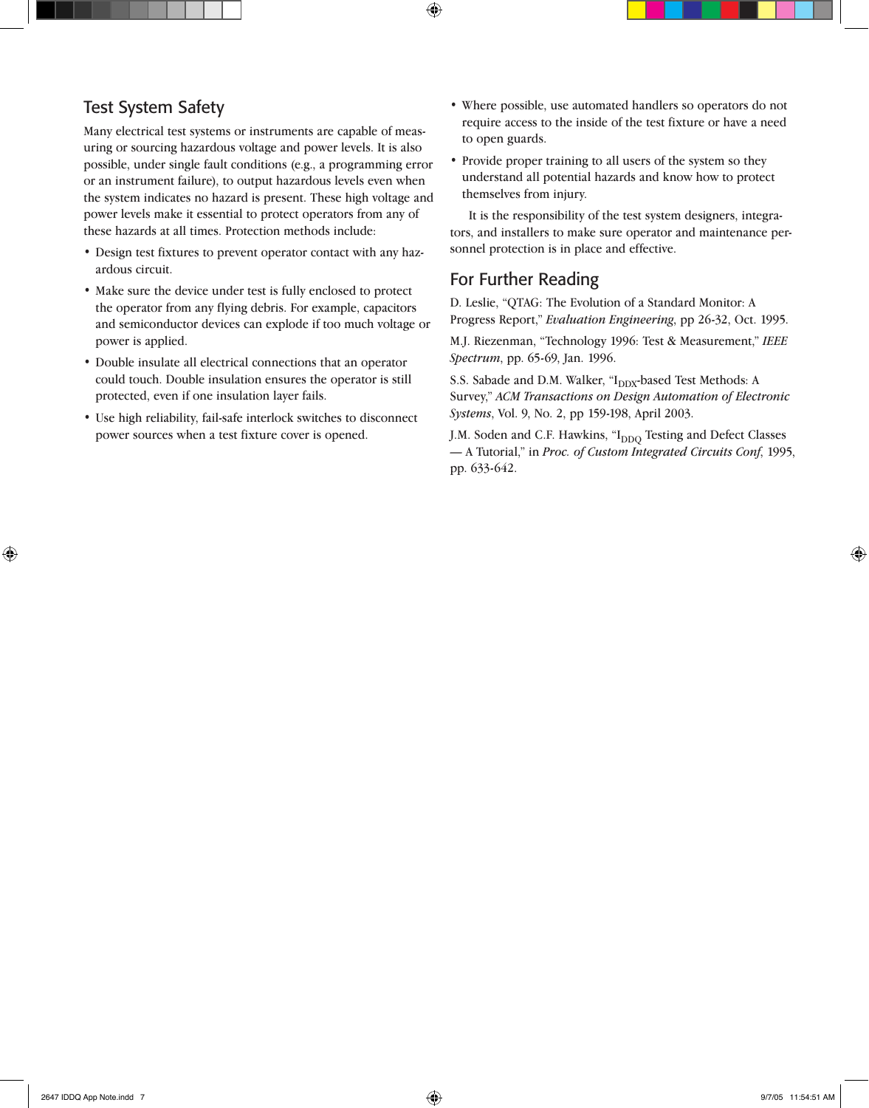### Test System Safety

Many electrical test systems or instruments are capable of measuring or sourcing hazardous voltage and power levels. It is also possible, under single fault conditions (e.g., a programming error or an instrument failure), to output hazardous levels even when the system indicates no hazard is present. These high voltage and power levels make it essential to protect operators from any of these hazards at all times. Protection methods include:

- Design test fixtures to prevent operator contact with any hazardous circuit.
- Make sure the device under test is fully enclosed to protect the operator from any flying debris. For example, capacitors and semiconductor devices can explode if too much voltage or power is applied.
- Double insulate all electrical connections that an operator could touch. Double insulation ensures the operator is still protected, even if one insulation layer fails.
- Use high reliability, fail-safe interlock switches to disconnect power sources when a test fixture cover is opened.
- Where possible, use automated handlers so operators do not require access to the inside of the test fixture or have a need to open guards.
- Provide proper training to all users of the system so they understand all potential hazards and know how to protect themselves from injury.

It is the responsibility of the test system designers, integrators, and installers to make sure operator and maintenance personnel protection is in place and effective.

### For Further Reading

D. Leslie, "QTAG: The Evolution of a Standard Monitor: A Progress Report," *Evaluation Engineering*, pp 26-32, Oct. 1995.

M.J. Riezenman, "Technology 1996: Test & Measurement," *IEEE Spectrum*, pp. 65-69, Jan. 1996.

S.S. Sabade and D.M. Walker, "I<sub>DDX</sub>-based Test Methods: A Survey," *ACM Transactions on Design Automation of Electronic Systems*, Vol. 9, No. 2, pp 159-198, April 2003.

J.M. Soden and C.F. Hawkins, "I<sub>DDO</sub> Testing and Defect Classes — A Tutorial," in *Proc. of Custom Integrated Circuits Conf*, 1995, pp. 633-642.